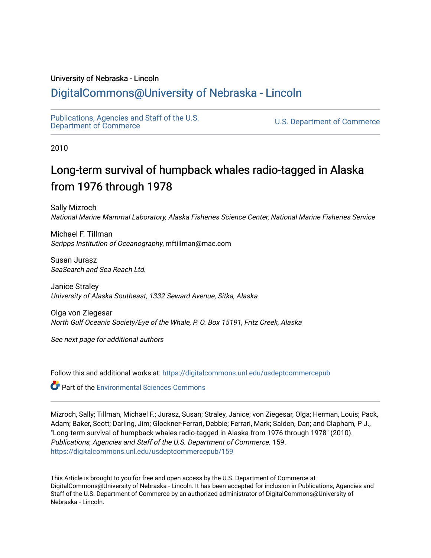## University of Nebraska - Lincoln

# [DigitalCommons@University of Nebraska - Lincoln](https://digitalcommons.unl.edu/)

[Publications, Agencies and Staff of the U.S.](https://digitalcommons.unl.edu/usdeptcommercepub)

U.S. [Department of Commerce](https://digitalcommons.unl.edu/usdeptcommercepub)

2010

# Long-term survival of humpback whales radio-tagged in Alaska from 1976 through 1978

Sally Mizroch National Marine Mammal Laboratory, Alaska Fisheries Science Center, National Marine Fisheries Service

Michael F. Tillman Scripps Institution of Oceanography, mftillman@mac.com

Susan Jurasz SeaSearch and Sea Reach Ltd.

Janice Straley University of Alaska Southeast, 1332 Seward Avenue, Sitka, Alaska

Olga von Ziegesar North Gulf Oceanic Society/Eye of the Whale, P. O. Box 15191, Fritz Creek, Alaska

See next page for additional authors

Follow this and additional works at: [https://digitalcommons.unl.edu/usdeptcommercepub](https://digitalcommons.unl.edu/usdeptcommercepub?utm_source=digitalcommons.unl.edu%2Fusdeptcommercepub%2F159&utm_medium=PDF&utm_campaign=PDFCoverPages)

Part of the [Environmental Sciences Commons](http://network.bepress.com/hgg/discipline/167?utm_source=digitalcommons.unl.edu%2Fusdeptcommercepub%2F159&utm_medium=PDF&utm_campaign=PDFCoverPages)

Mizroch, Sally; Tillman, Michael F.; Jurasz, Susan; Straley, Janice; von Ziegesar, Olga; Herman, Louis; Pack, Adam; Baker, Scott; Darling, Jim; Glockner-Ferrari, Debbie; Ferrari, Mark; Salden, Dan; and Clapham, P J., "Long-term survival of humpback whales radio-tagged in Alaska from 1976 through 1978" (2010). Publications, Agencies and Staff of the U.S. Department of Commerce. 159. [https://digitalcommons.unl.edu/usdeptcommercepub/159](https://digitalcommons.unl.edu/usdeptcommercepub/159?utm_source=digitalcommons.unl.edu%2Fusdeptcommercepub%2F159&utm_medium=PDF&utm_campaign=PDFCoverPages) 

This Article is brought to you for free and open access by the U.S. Department of Commerce at DigitalCommons@University of Nebraska - Lincoln. It has been accepted for inclusion in Publications, Agencies and Staff of the U.S. Department of Commerce by an authorized administrator of DigitalCommons@University of Nebraska - Lincoln.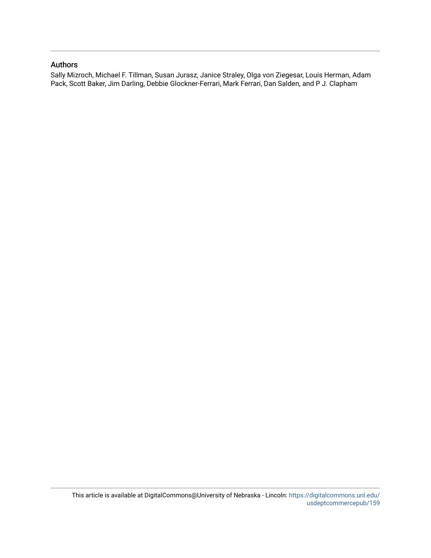## Authors

Sally Mizroch, Michael F. Tillman, Susan Jurasz, Janice Straley, Olga von Ziegesar, Louis Herman, Adam Pack, Scott Baker, Jim Darling, Debbie Glockner-Ferrari, Mark Ferrari, Dan Salden, and P J. Clapham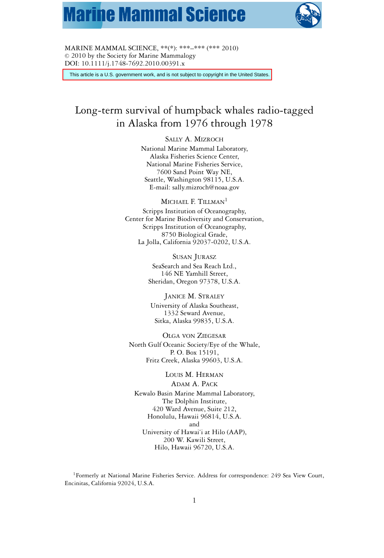# **Marine Mammal Science**



MARINE MAMMAL SCIENCE, \*\*(\*): \*\*\*–\*\*\* (\*\*\* 2010)  $© 2010$  by the Society for Marine Mammalogy DOI: 10.1111/j.1748-7692.2010.00391.x

This article is a U.S. government work, and is not subject to copyright in the United States.

# Long-term survival of humpback whales radio-tagged in Alaska from 1976 through 1978

SALLY A. MIZROCH

National Marine Mammal Laboratory, Alaska Fisheries Science Center, National Marine Fisheries Service, 7600 Sand Point Way NE, Seattle, Washington 98115, U.S.A. E-mail: sally.mizroch@noaa.gov

MICHAEL F. TILLMAN<sup>1</sup> Scripps Institution of Oceanography, Center for Marine Biodiversity and Conservation, Scripps Institution of Oceanography, 8750 Biological Grade, La Jolla, California 92037-0202, U.S.A.

> SUSAN JURASZ SeaSearch and Sea Reach Ltd., 146 NE Yamhill Street, Sheridan, Oregon 97378, U.S.A.

JANICE M. STRALEY University of Alaska Southeast, 1332 Seward Avenue, Sitka, Alaska 99835, U.S.A.

OLGA VON ZIEGESAR North Gulf Oceanic Society/Eye of the Whale, P. O. Box 15191, Fritz Creek, Alaska 99603, U.S.A.

LOUIS M. HERMAN ADAM A. PACK Kewalo Basin Marine Mammal Laboratory, The Dolphin Institute, 420 Ward Avenue, Suite 212, Honolulu, Hawaii 96814, U.S.A. and University of Hawai'i at Hilo (AAP), 200 W. Kawili Street, Hilo, Hawaii 96720, U.S.A.

<sup>1</sup>Formerly at National Marine Fisheries Service. Address for correspondence: 249 Sea View Court, Encinitas, California 92024, U.S.A.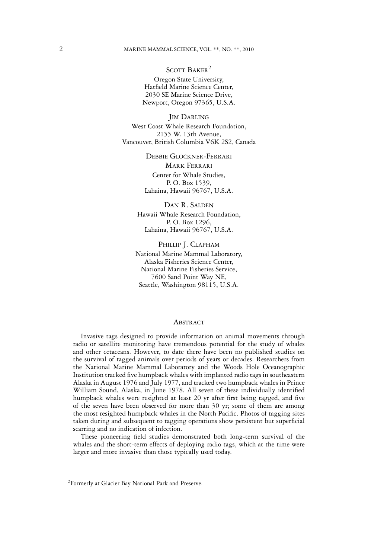SCOTT BAKER<sup>2</sup>

Oregon State University, Hatfield Marine Science Center, 2030 SE Marine Science Drive, Newport, Oregon 97365, U.S.A.

**JIM DARLING** West Coast Whale Research Foundation, 2155 W. 13th Avenue, Vancouver, British Columbia V6K 2S2, Canada

> DEBBIE GLOCKNER-FERRARI MARK FERRARI Center for Whale Studies, P. O. Box 1539, Lahaina, Hawaii 96767, U.S.A.

DAN R. SALDEN Hawaii Whale Research Foundation, P. O. Box 1296, Lahaina, Hawaii 96767, U.S.A.

PHILLIP J. CLAPHAM National Marine Mammal Laboratory, Alaska Fisheries Science Center, National Marine Fisheries Service, 7600 Sand Point Way NE, Seattle, Washington 98115, U.S.A.

### **ABSTRACT**

Invasive tags designed to provide information on animal movements through radio or satellite monitoring have tremendous potential for the study of whales and other cetaceans. However, to date there have been no published studies on the survival of tagged animals over periods of years or decades. Researchers from the National Marine Mammal Laboratory and the Woods Hole Oceanographic Institution tracked five humpback whales with implanted radio tags in southeastern Alaska in August 1976 and July 1977, and tracked two humpback whales in Prince William Sound, Alaska, in June 1978. All seven of these individually identified humpback whales were resighted at least 20 yr after first being tagged, and five of the seven have been observed for more than 30 yr; some of them are among the most resighted humpback whales in the North Pacific. Photos of tagging sites taken during and subsequent to tagging operations show persistent but superficial scarring and no indication of infection.

These pioneering field studies demonstrated both long-term survival of the whales and the short-term effects of deploying radio tags, which at the time were larger and more invasive than those typically used today.

<sup>&</sup>lt;sup>2</sup>Formerly at Glacier Bay National Park and Preserve.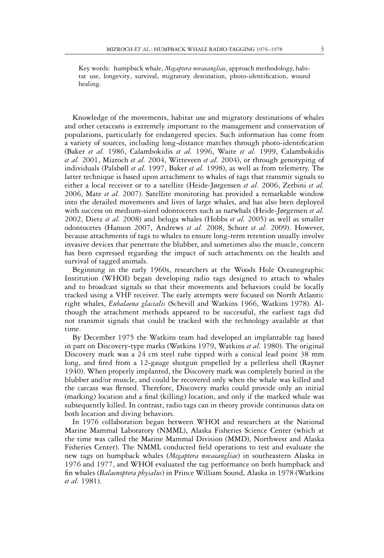Key words: humpback whale, *Megaptera novaeangliae*, approach methodology, habitat use, longevity, survival, migratory destination, photo-identification, wound healing.

Knowledge of the movements, habitat use and migratory destinations of whales and other cetaceans is extremely important to the management and conservation of populations, particularly for endangered species. Such information has come from a variety of sources, including long-distance matches through photo-identification (Baker *et al.* 1986, Calambokidis *et al.* 1996, Waite *et al.* 1999, Calambokidis *et al.* 2001, Mizroch *et al.* 2004, Witteveen *et al.* 2004), or through genotyping of individuals (Palsbøll *et al.* 1997, Baker *et al.* 1998), as well as from telemetry. The latter technique is based upon attachment to whales of tags that transmit signals to either a local receiver or to a satellite (Heide-Jørgensen *et al.* 2006, Zerbini *et al.* 2006, Mate *et al.* 2007). Satellite monitoring has provided a remarkable window into the detailed movements and lives of large whales, and has also been deployed with success on medium-sized odontocetes such as narwhals (Heide-Jørgensen *et al.* 2002, Dietz *et al.* 2008) and beluga whales (Hobbs *et al.* 2005) as well as smaller odontocetes (Hanson 2007, Andrews *et al.* 2008, Schorr *et al.* 2009). However, because attachments of tags to whales to ensure long-term retention usually involve invasive devices that penetrate the blubber, and sometimes also the muscle, concern has been expressed regarding the impact of such attachments on the health and survival of tagged animals.

Beginning in the early 1960s, researchers at the Woods Hole Oceanographic Institution (WHOI) began developing radio tags designed to attach to whales and to broadcast signals so that their movements and behaviors could be locally tracked using a VHF receiver. The early attempts were focused on North Atlantic right whales, *Eubalaena glacialis* (Schevill and Watkins 1966, Watkins 1978). Although the attachment methods appeared to be successful, the earliest tags did not transmit signals that could be tracked with the technology available at that time.

By December 1975 the Watkins team had developed an implantable tag based in part on Discovery-type marks (Watkins 1979, Watkins *et al.* 1980). The original Discovery mark was a 24 cm steel tube tipped with a conical lead point 38 mm long, and fired from a 12-gauge shotgun propelled by a pelletless shell (Rayner 1940). When properly implanted, the Discovery mark was completely buried in the blubber and/or muscle, and could be recovered only when the whale was killed and the carcass was flensed. Therefore, Discovery marks could provide only an initial (marking) location and a final (killing) location, and only if the marked whale was subsequently killed. In contrast, radio tags can in theory provide continuous data on both location and diving behaviors.

In 1976 collaboration began between WHOI and researchers at the National Marine Mammal Laboratory (NMML), Alaska Fisheries Science Center (which at the time was called the Marine Mammal Division (MMD), Northwest and Alaska Fisheries Center). The NMML conducted field operations to test and evaluate the new tags on humpback whales (*Megaptera novaeangliae*) in southeastern Alaska in 1976 and 1977, and WHOI evaluated the tag performance on both humpback and fin whales (*Balaenoptera physalus*) in Prince William Sound, Alaska in 1978 (Watkins *et al.* 1981).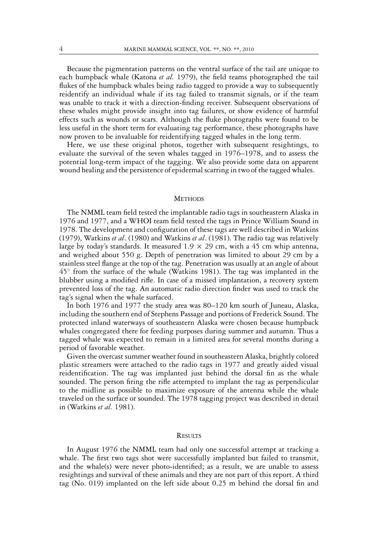Because the pigmentation patterns on the ventral surface of the tail are unique to each humpback whale (Katona *et al.* 1979), the field teams photographed the tail flukes of the humpback whales being radio tagged to provide a way to subsequently reidentify an individual whale if its tag failed to transmit signals, or if the team was unable to track it with a direction-finding receiver. Subsequent observations of these whales might provide insight into tag failures, or show evidence of harmful effects such as wounds or scars. Although the fluke photographs were found to be less useful in the short term for evaluating tag performance, these photographs have now proven to be invaluable for reidentifying tagged whales in the long term.

Here, we use these original photos, together with subsequent resightings, to evaluate the survival of the seven whales tagged in 1976–1978, and to assess the potential long-term impact of the tagging. We also provide some data on apparent wound healing and the persistence of epidermal scarring in two of the tagged whales.

#### **METHODS**

The NMML team field tested the implantable radio tags in southeastern Alaska in 1976 and 1977, and a WHOI team field tested the tags in Prince William Sound in 1978. The development and configuration of these tags are well described in Watkins (1979), Watkins *et al*. (1980) and Watkins *et al*. (1981). The radio tag was relatively large by today's standards. It measured  $1.9 \times 29$  cm, with a 45 cm whip antenna, and weighed about 550 g. Depth of penetration was limited to about 29 cm by a stainless steel flange at the top of the tag. Penetration was usually at an angle of about 45◦ from the surface of the whale (Watkins 1981). The tag was implanted in the blubber using a modified rifle. In case of a missed implantation, a recovery system prevented loss of the tag. An automatic radio direction finder was used to track the tag's signal when the whale surfaced.

In both 1976 and 1977 the study area was 80–120 km south of Juneau, Alaska, including the southern end of Stephens Passage and portions of Frederick Sound. The protected inland waterways of southeastern Alaska were chosen because humpback whales congregated there for feeding purposes during summer and autumn. Thus a tagged whale was expected to remain in a limited area for several months during a period of favorable weather.

Given the overcast summer weather found in southeastern Alaska, brightly colored plastic streamers were attached to the radio tags in 1977 and greatly aided visual reidentification. The tag was implanted just behind the dorsal fin as the whale sounded. The person firing the rifle attempted to implant the tag as perpendicular to the midline as possible to maximize exposure of the antenna while the whale traveled on the surface or sounded. The 1978 tagging project was described in detail in (Watkins *et al.* 1981).

#### **RESULTS**

In August 1976 the NMML team had only one successful attempt at tracking a whale. The first two tags shot were successfully implanted but failed to transmit, and the whale(s) were never photo-identified; as a result, we are unable to assess resightings and survival of these animals and they are not part of this report. A third tag (No. 019) implanted on the left side about 0.25 m behind the dorsal fin and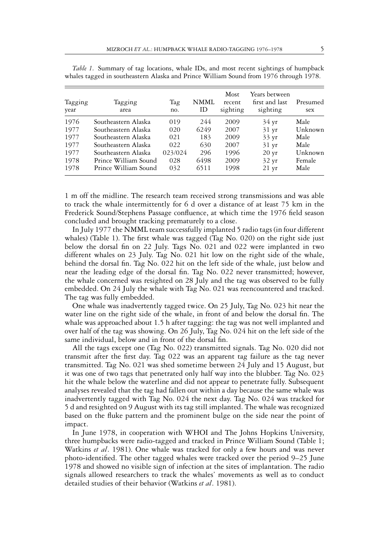| Tagging<br>year | Tagging<br>area      | Tag<br>no. | NMML<br>ΙD | Most<br>recent<br>sighting | Years between<br>first and last<br>sighting | Presumed<br>sex |
|-----------------|----------------------|------------|------------|----------------------------|---------------------------------------------|-----------------|
| 1976            | Southeastern Alaska  | 019        | 244        | 2009                       | $34 \text{ yr}$                             | Male            |
| 1977            | Southeastern Alaska  | 020        | 6249       | 2007                       | $31 \text{ yr}$                             | Unknown         |
| 1977            | Southeastern Alaska  | 021        | 183        | 2009                       | $33 \text{ yr}$                             | Male            |
| 1977            | Southeastern Alaska  | 022        | 630        | 2007                       | $31 \text{ yr}$                             | Male            |
| 1977            | Southeastern Alaska  | 023/024    | 296        | 1996                       | $20 \text{ yr}$                             | Unknown         |
| 1978            | Prince William Sound | 028        | 6498       | 2009                       | $32 \text{ yr}$                             | Female          |
| 1978            | Prince William Sound | 032        | 6511       | 1998                       | $21 \text{ yr}$                             | Male            |

*Table 1.* Summary of tag locations, whale IDs, and most recent sightings of humpback whales tagged in southeastern Alaska and Prince William Sound from 1976 through 1978.

1 m off the midline. The research team received strong transmissions and was able to track the whale intermittently for 6 d over a distance of at least 75 km in the Frederick Sound/Stephens Passage confluence, at which time the 1976 field season concluded and brought tracking prematurely to a close.

In July 1977 the NMML team successfully implanted 5 radio tags (in four different whales) (Table 1). The first whale was tagged (Tag No. 020) on the right side just below the dorsal fin on 22 July. Tags No. 021 and 022 were implanted in two different whales on 23 July. Tag No. 021 hit low on the right side of the whale, behind the dorsal fin. Tag No. 022 hit on the left side of the whale, just below and near the leading edge of the dorsal fin. Tag No. 022 never transmitted; however, the whale concerned was resighted on 28 July and the tag was observed to be fully embedded. On 24 July the whale with Tag No. 021 was reencountered and tracked. The tag was fully embedded.

One whale was inadvertently tagged twice. On 25 July, Tag No. 023 hit near the water line on the right side of the whale, in front of and below the dorsal fin. The whale was approached about 1.5 h after tagging: the tag was not well implanted and over half of the tag was showing. On 26 July, Tag No. 024 hit on the left side of the same individual, below and in front of the dorsal fin.

All the tags except one (Tag No. 022) transmitted signals. Tag No. 020 did not transmit after the first day. Tag 022 was an apparent tag failure as the tag never transmitted. Tag No. 021 was shed sometime between 24 July and 15 August, but it was one of two tags that penetrated only half way into the blubber. Tag No. 023 hit the whale below the waterline and did not appear to penetrate fully. Subsequent analyses revealed that the tag had fallen out within a day because the same whale was inadvertently tagged with Tag No. 024 the next day. Tag No. 024 was tracked for 5 d and resighted on 9 August with its tag still implanted. The whale was recognized based on the fluke pattern and the prominent bulge on the side near the point of impact.

In June 1978, in cooperation with WHOI and The Johns Hopkins University, three humpbacks were radio-tagged and tracked in Prince William Sound (Table 1; Watkins *et al*. 1981). One whale was tracked for only a few hours and was never photo-identified. The other tagged whales were tracked over the period 9–25 June 1978 and showed no visible sign of infection at the sites of implantation. The radio signals allowed researchers to track the whales' movements as well as to conduct detailed studies of their behavior (Watkins *et al*. 1981).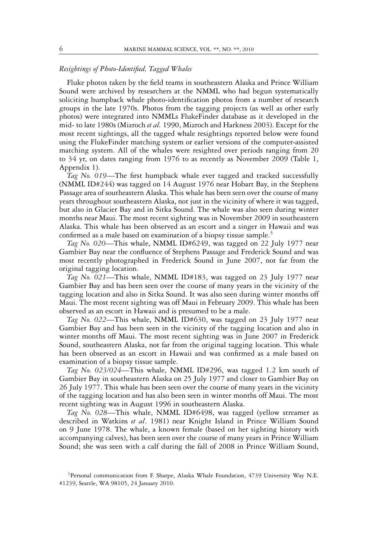#### *Resightings of Photo-Identified, Tagged Whales*

Fluke photos taken by the field teams in southeastern Alaska and Prince William Sound were archived by researchers at the NMML who had begun systematically soliciting humpback whale photo-identification photos from a number of research groups in the late 1970s. Photos from the tagging projects (as well as other early photos) were integrated into NMMLs FlukeFinder database as it developed in the mid- to late 1980s (Mizroch *et al.* 1990, Mizroch and Harkness 2003). Except for the most recent sightings, all the tagged whale resightings reported below were found using the FlukeFinder matching system or earlier versions of the computer-assisted matching system. All of the whales were resighted over periods ranging from 20 to 34 yr, on dates ranging from 1976 to as recently as November 2009 (Table 1, Appendix 1).

*Tag No. 019*—The first humpback whale ever tagged and tracked successfully (NMML ID#244) was tagged on 14 August 1976 near Hobart Bay, in the Stephens Passage area of southeastern Alaska. This whale has been seen over the course of many years throughout southeastern Alaska, not just in the vicinity of where it was tagged, but also in Glacier Bay and in Sitka Sound. The whale was also seen during winter months near Maui. The most recent sighting was in November 2009 in southeastern Alaska. This whale has been observed as an escort and a singer in Hawaii and was confirmed as a male based on examination of a biopsy tissue sample.<sup>3</sup>

*Tag No. 020*—This whale, NMML ID#6249, was tagged on 22 July 1977 near Gambier Bay near the confluence of Stephens Passage and Frederick Sound and was most recently photographed in Frederick Sound in June 2007, not far from the original tagging location.

*Tag No. 021*—This whale, NMML ID#183, was tagged on 23 July 1977 near Gambier Bay and has been seen over the course of many years in the vicinity of the tagging location and also in Sitka Sound. It was also seen during winter months off Maui. The most recent sighting was off Maui in February 2009. This whale has been observed as an escort in Hawaii and is presumed to be a male.

*Tag No. 022*—This whale, NMML ID#630, was tagged on 23 July 1977 near Gambier Bay and has been seen in the vicinity of the tagging location and also in winter months off Maui. The most recent sighting was in June 2007 in Frederick Sound, southeastern Alaska, not far from the original tagging location. This whale has been observed as an escort in Hawaii and was confirmed as a male based on examination of a biopsy tissue sample.

*Tag No. 023/024*—This whale, NMML ID#296, was tagged 1.2 km south of Gambier Bay in southeastern Alaska on 25 July 1977 and closer to Gambier Bay on 26 July 1977. This whale has been seen over the course of many years in the vicinity of the tagging location and has also been seen in winter months off Maui. The most recent sighting was in August 1996 in southeastern Alaska.

*Tag No. 028*—This whale, NMML ID#6498, was tagged (yellow streamer as described in Watkins *et al*. 1981) near Knight Island in Prince William Sound on 9 June 1978. The whale, a known female (based on her sighting history with accompanying calves), has been seen over the course of many years in Prince William Sound; she was seen with a calf during the fall of 2008 in Prince William Sound,

<sup>&</sup>lt;sup>3</sup>Personal communication from F. Sharpe, Alaska Whale Foundation, 4739 University Way N.E. #1239, Seattle, WA 98105, 24 January 2010.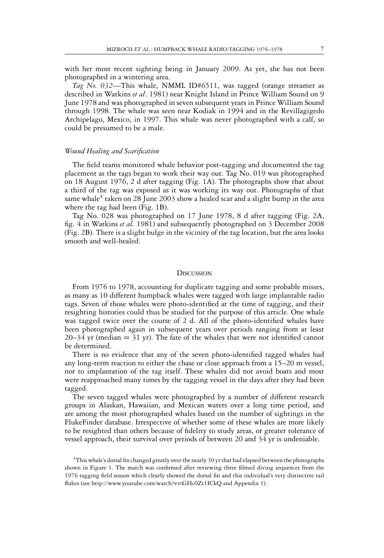with her most recent sighting being in January 2009. As yet, she has not been photographed in a wintering area.

*Tag No. 032*—This whale, NMML ID#6511, was tagged (orange streamer as described in Watkins *et al*. 1981) near Knight Island in Prince William Sound on 9 June 1978 and was photographed in seven subsequent years in Prince William Sound through 1998. The whale was seen near Kodiak in 1994 and in the Revillagigedo Archipelago, Mexico, in 1997. This whale was never photographed with a calf, so could be presumed to be a male.

#### *Wound Healing and Scarification*

The field teams monitored whale behavior post-tagging and documented the tag placement as the tags began to work their way out. Tag No. 019 was photographed on 18 August 1976, 2 d after tagging (Fig. 1A). The photographs show that about a third of the tag was exposed as it was working its way out. Photographs of that same whale<sup>4</sup> taken on 28 June 2003 show a healed scar and a slight bump in the area where the tag had been (Fig. 1B).

Tag No. 028 was photographed on 17 June 1978, 8 d after tagging (Fig. 2A, fig. 4 in Watkins *et al.* 1981) and subsequently photographed on 3 December 2008 (Fig. 2B). There is a slight bulge in the vicinity of the tag location, but the area looks smooth and well-healed.

#### **DISCUSSION**

From 1976 to 1978, accounting for duplicate tagging and some probable misses, as many as 10 different humpback whales were tagged with large implantable radio tags. Seven of those whales were photo-identified at the time of tagging, and their resighting histories could thus be studied for the purpose of this article. One whale was tagged twice over the course of 2 d. All of the photo-identified whales have been photographed again in subsequent years over periods ranging from at least  $20-34$  yr (median  $= 31$  yr). The fate of the whales that were not identified cannot be determined.

There is no evidence that any of the seven photo-identified tagged whales had any long-term reaction to either the chase or close approach from a 15–20 m vessel, nor to implantation of the tag itself. These whales did not avoid boats and most were reapproached many times by the tagging vessel in the days after they had been tagged.

The seven tagged whales were photographed by a number of different research groups in Alaskan, Hawaiian, and Mexican waters over a long time period, and are among the most photographed whales based on the number of sightings in the FlukeFinder database. Irrespective of whether some of these whales are more likely to be resighted than others because of fidelity to study areas, or greater tolerance of vessel approach, their survival over periods of between 20 and 34 yr is undeniable.

<sup>4</sup>This whale's dorsal fin changed greatly over the nearly 30 yr that had elapsed between the photographs shown in Figure 1. The match was confirmed after reviewing three filmed diving sequences from the 1976 tagging field season which clearly showed the dorsal fin and this individual's very distinctive tail flukes (see http://www.youtube.com/watch?v=GHc0Zt1ICkQ and Appendix 1).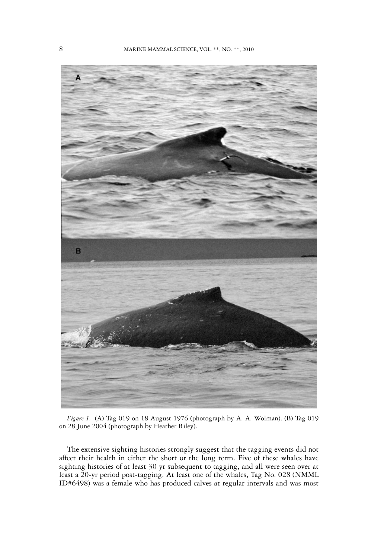

*Figure 1.* (A) Tag 019 on 18 August 1976 (photograph by A. A. Wolman). (B) Tag 019 on 28 June 2004 (photograph by Heather Riley).

The extensive sighting histories strongly suggest that the tagging events did not affect their health in either the short or the long term. Five of these whales have sighting histories of at least 30 yr subsequent to tagging, and all were seen over at least a 20-yr period post-tagging. At least one of the whales, Tag No. 028 (NMML ID#6498) was a female who has produced calves at regular intervals and was most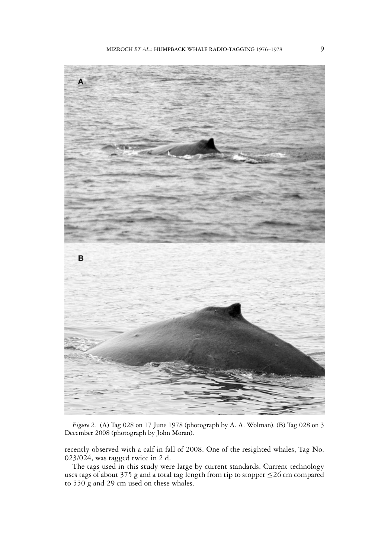

*Figure 2.* (A) Tag 028 on 17 June 1978 (photograph by A. A. Wolman). (B) Tag 028 on 3 December 2008 (photograph by John Moran).

recently observed with a calf in fall of 2008. One of the resighted whales, Tag No. 023/024, was tagged twice in 2 d.

The tags used in this study were large by current standards. Current technology uses tags of about 375 g and a total tag length from tip to stopper ≤26 cm compared to 550 g and 29 cm used on these whales.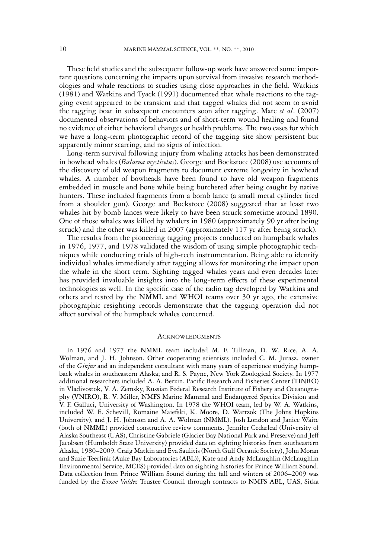These field studies and the subsequent follow-up work have answered some important questions concerning the impacts upon survival from invasive research methodologies and whale reactions to studies using close approaches in the field. Watkins (1981) and Watkins and Tyack (1991) documented that whale reactions to the tagging event appeared to be transient and that tagged whales did not seem to avoid the tagging boat in subsequent encounters soon after tagging. Mate *et al*. (2007) documented observations of behaviors and of short-term wound healing and found no evidence of either behavioral changes or health problems. The two cases for which we have a long-term photographic record of the tagging site show persistent but apparently minor scarring, and no signs of infection.

Long-term survival following injury from whaling attacks has been demonstrated in bowhead whales (*Balaena mysticetus*). George and Bockstoce (2008) use accounts of the discovery of old weapon fragments to document extreme longevity in bowhead whales. A number of bowheads have been found to have old weapon fragments embedded in muscle and bone while being butchered after being caught by native hunters. These included fragments from a bomb lance (a small metal cylinder fired from a shoulder gun). George and Bockstoce (2008) suggested that at least two whales hit by bomb lances were likely to have been struck sometime around 1890. One of those whales was killed by whalers in 1980 (approximately 90 yr after being struck) and the other was killed in 2007 (approximately 117 yr after being struck).

The results from the pioneering tagging projects conducted on humpback whales in 1976, 1977, and 1978 validated the wisdom of using simple photographic techniques while conducting trials of high-tech instrumentation. Being able to identify individual whales immediately after tagging allows for monitoring the impact upon the whale in the short term. Sighting tagged whales years and even decades later has provided invaluable insights into the long-term effects of these experimental technologies as well. In the specific case of the radio tag developed by Watkins and others and tested by the NMML and WHOI teams over 30 yr ago, the extensive photographic resighting records demonstrate that the tagging operation did not affect survival of the humpback whales concerned.

#### **ACKNOWLEDGMENTS**

In 1976 and 1977 the NMML team included M. F. Tillman, D. W. Rice, A. A. Wolman, and J. H. Johnson. Other cooperating scientists included C. M. Jurasz, owner of the *Ginjur* and an independent consultant with many years of experience studying humpback whales in southeastern Alaska; and R. S. Payne, New York Zoological Society. In 1977 additional researchers included A. A. Berzin, Pacific Research and Fisheries Center (TINRO) in Vladivostok, V. A. Zemsky, Russian Federal Research Institute of Fishery and Oceanography (VNIRO), R. V. Miller, NMFS Marine Mammal and Endangered Species Division and V. F. Galluci, University of Washington. In 1978 the WHOI team, led by W. A. Watkins, included W. E. Schevill, Romaine Maiefski, K. Moore, D. Wartzok (The Johns Hopkins University), and J. H. Johnson and A. A. Wolman (NMML). Josh London and Janice Waite (both of NMML) provided constructive review comments. Jennifer Cedarleaf (University of Alaska Southeast (UAS), Christine Gabriele (Glacier Bay National Park and Preserve) and Jeff Jacobsen (Humboldt State University) provided data on sighting histories from southeastern Alaska, 1980–2009. Craig Matkin and Eva Saulitis (North Gulf Oceanic Society), John Moran and Suzie Teerlink (Auke Bay Laboratories (ABL)), Kate and Andy McLaughlin (McLaughlin Environmental Service, MCES) provided data on sighting histories for Prince William Sound. Data collection from Prince William Sound during the fall and winters of 2006–2009 was funded by the *Exxon Valdez* Trustee Council through contracts to NMFS ABL, UAS, Sitka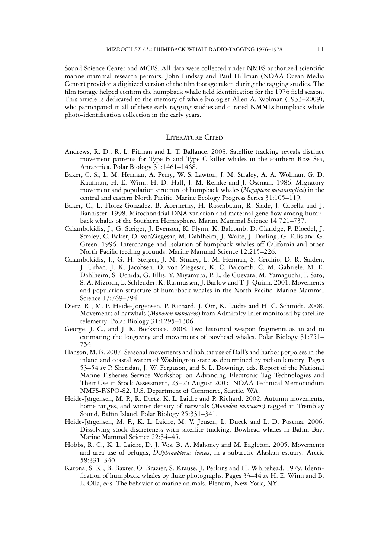Sound Science Center and MCES. All data were collected under NMFS authorized scientific marine mammal research permits. John Lindsay and Paul Hillman (NOAA Ocean Media Center) provided a digitized version of the film footage taken during the tagging studies. The film footage helped confirm the humpback whale field identification for the 1976 field season. This article is dedicated to the memory of whale biologist Allen A. Wolman (1933–2009), who participated in all of these early tagging studies and curated NMMLs humpback whale photo-identification collection in the early years.

#### LITERATURE CITED

- Andrews, R. D., R. L. Pitman and L. T. Ballance. 2008. Satellite tracking reveals distinct movement patterns for Type B and Type C killer whales in the southern Ross Sea, Antarctica. Polar Biology 31:1461–1468.
- Baker, C. S., L. M. Herman, A. Perry, W. S. Lawton, J. M. Straley, A. A. Wolman, G. D. Kaufman, H. E. Winn, H. D. Hall, J. M. Reinke and J. Ostman. 1986. Migratory movement and population structure of humpback whales (*Megaptera novaeangliae*) in the central and eastern North Pacific. Marine Ecology Progress Series 31:105–119.
- Baker, C., L. Florez-Gonzalez, B. Abernethy, H. Rosenbaum, R. Slade, J. Capella and J. Bannister. 1998. Mitochondrial DNA variation and maternal gene flow among humpback whales of the Southern Hemisphere. Marine Mammal Science 14:721–737.
- Calambokidis, J., G. Steiger, J. Evenson, K. Flynn, K. Balcomb, D. Claridge, P. Bloedel, J. Straley, C. Baker, O. vonZiegesar, M. Dahlheim, J. Waite, J. Darling, G. Ellis and G. Green. 1996. Interchange and isolation of humpback whales off California and other North Pacific feeding grounds. Marine Mammal Science 12:215–226.
- Calambokidis, J., G. H. Steiger, J. M. Straley, L. M. Herman, S. Cerchio, D. R. Salden, J. Urban, J. K. Jacobsen, O. von Ziegesar, K. C. Balcomb, C. M. Gabriele, M. E. Dahlheim, S. Uchida, G. Ellis, Y. Miyamura, P. L. de Guevara, M. Yamaguchi, F. Sato, S. A. Mizroch, L. Schlender, K. Rasmussen, J. Barlow and T. J. Quinn. 2001. Movements and population structure of humpback whales in the North Pacific. Marine Mammal Science 17:769–794.
- Dietz, R., M. P. Heide-Jorgensen, P. Richard, J. Orr, K. Laidre and H. C. Schmidt. 2008. Movements of narwhals (*Monodon monoceros*) from Admiralty Inlet monitored by satellite telemetry. Polar Biology 31:1295–1306.
- George, J. C., and J. R. Bockstoce. 2008. Two historical weapon fragments as an aid to estimating the longevity and movements of bowhead whales. Polar Biology 31:751– 754.
- Hanson, M. B. 2007. Seasonal movements and habitat use of Dall's and harbor porpoises in the inland and coastal waters of Washington state as determined by radiotelemetry. Pages 53–54 *in* P. Sheridan, J. W. Ferguson, and S. L. Downing, eds. Report of the National Marine Fisheries Service Workshop on Advancing Electronic Tag Technologies and Their Use in Stock Assessment, 23–25 August 2005. NOAA Technical Memorandum NMFS-F/SPO-82. U.S. Department of Commerce, Seattle, WA.
- Heide-Jørgensen, M. P., R. Dietz, K. L. Laidre and P. Richard. 2002. Autumn movements, home ranges, and winter density of narwhals (*Monodon monoceros*) tagged in Tremblay Sound, Baffin Island. Polar Biology 25:331–341.
- Heide-Jørgensen, M. P., K. L. Laidre, M. V. Jensen, L. Dueck and L. D. Postma. 2006. Dissolving stock discreteness with satellite tracking: Bowhead whales in Baffin Bay. Marine Mammal Science 22:34–45.
- Hobbs, R. C., K. L. Laidre, D. J. Vos, B. A. Mahoney and M. Eagleton. 2005. Movements and area use of belugas, *Delphinapterus leucas*, in a subarctic Alaskan estuary. Arctic 58:331–340.
- Katona, S. K., B. Baxter, O. Brazier, S. Krause, J. Perkins and H. Whitehead. 1979. Identification of humpback whales by fluke photographs. Pages 33–44 *in* H. E. Winn and B. L. Olla, eds. The behavior of marine animals. Plenum, New York, NY.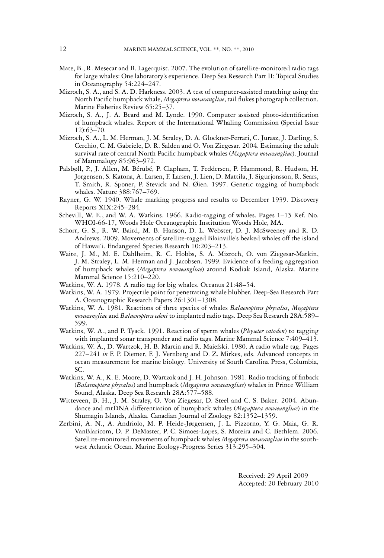- Mate, B., R. Mesecar and B. Lagerquist. 2007. The evolution of satellite-monitored radio tags for large whales: One laboratory's experience. Deep Sea Research Part II: Topical Studies in Oceanography 54:224–247.
- Mizroch, S. A., and S. A. D. Harkness. 2003. A test of computer-assisted matching using the North Pacific humpback whale, *Megaptera novaeangliae*, tail flukes photograph collection. Marine Fisheries Review 65:25–37.
- Mizroch, S. A., J. A. Beard and M. Lynde. 1990. Computer assisted photo-identification of humpback whales. Report of the International Whaling Commission (Special Issue 12):63–70.
- Mizroch, S. A., L. M. Herman, J. M. Straley, D. A. Glockner-Ferrari, C. Jurasz, J. Darling, S. Cerchio, C. M. Gabriele, D. R. Salden and O. Von Ziegesar. 2004. Estimating the adult survival rate of central North Pacific humpback whales (*Megaptera novaeangliae*). Journal of Mammalogy 85:963–972.
- Palsbøll, P., J. Allen, M. Bérubé, P. Clapham, T. Feddersen, P. Hammond, R. Hudson, H. Jorgensen, S. Katona, A. Larsen, F. Larsen, J. Lien, D. Mattila, J. Sigurjonsson, R. Sears, T. Smith, R. Sponer, P. Stevick and N. Øien. 1997. Genetic tagging of humpback whales. Nature 388:767–769.
- Rayner, G. W. 1940. Whale marking progress and results to December 1939. Discovery Reports XIX:245–284.
- Schevill, W. E., and W. A. Watkins. 1966. Radio-tagging of whales. Pages 1–15 Ref. No. WHOI-66-17, Woods Hole Oceanographic Institution Woods Hole, MA.
- Schorr, G. S., R. W. Baird, M. B. Hanson, D. L. Webster, D. J. McSweeney and R. D. Andrews. 2009. Movements of satellite-tagged Blainville's beaked whales off the island of Hawai'i. Endangered Species Research 10:203–213.
- Waite, J. M., M. E. Dahlheim, R. C. Hobbs, S. A. Mizroch, O. von Ziegesar-Matkin, J. M. Straley, L. M. Herman and J. Jacobsen. 1999. Evidence of a feeding aggregation of humpback whales (*Megaptera novaeangliae*) around Kodiak Island, Alaska. Marine Mammal Science 15:210–220.
- Watkins, W. A. 1978. A radio tag for big whales. Oceanus 21:48–54.
- Watkins, W. A. 1979. Projectile point for penetrating whale blubber. Deep-Sea Research Part A. Oceanographic Research Papers 26:1301–1308.
- Watkins, W. A. 1981. Reactions of three species of whales *Balaenoptera physalus*, *Megaptera novaeangliae* and *Balaenoptera edeni* to implanted radio tags. Deep Sea Research 28A:589– 599.
- Watkins, W. A., and P. Tyack. 1991. Reaction of sperm whales (*Physeter catodon*) to tagging with implanted sonar transponder and radio tags. Marine Mammal Science 7:409–413.
- Watkins, W. A., D. Wartzok, H. B. Martin and R. Maiefski. 1980. A radio whale tag. Pages 227–241 *in* F. P. Diemer, F. J. Vernberg and D. Z. Mirkes, eds. Advanced concepts in ocean measurement for marine biology. University of South Carolina Press, Columbia, SC.
- Watkins, W. A., K. E. Moore, D. Wartzok and J. H. Johnson. 1981. Radio tracking of finback (*Balaenoptera physalus*) and humpback (*Megaptera novaeangliae*) whales in Prince William Sound, Alaska. Deep Sea Research 28A:577–588.
- Witteveen, B. H., J. M. Straley, O. Von Ziegesar, D. Steel and C. S. Baker. 2004. Abundance and mtDNA differentiation of humpback whales (*Megaptera novaeangliae*) in the Shumagin Islands, Alaska. Canadian Journal of Zoology 82:1352–1359.
- Zerbini, A. N., A. Andriolo, M. P. Heide-Jørgensen, J. L. Pizzorno, Y. G. Maia, G. R. VanBlaricom, D. P. DeMaster, P. C. Simoes-Lopes, S. Moreira and C. Bethlem. 2006. Satellite-monitored movements of humpback whales *Megaptera novaeangliae* in the southwest Atlantic Ocean. Marine Ecology-Progress Series 313:295–304.